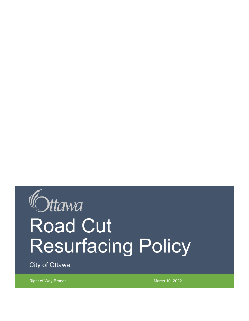# Ottawa Road Cut Resurfacing Policy

City of Ottawa

Right of Way Branch March 10, 2022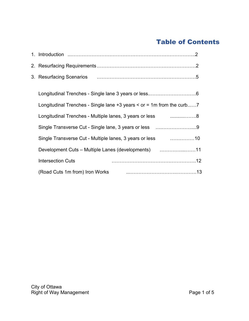#### Table of Contents

| Longitudinal Trenches - Single lane $+3$ years $\le$ or = 1m from the curb7 |
|-----------------------------------------------------------------------------|
| Longitudinal Trenches - Multiple lanes, 3 years or less 8                   |
| Single Transverse Cut - Single lane, 3 years or less 9                      |
| Single Transverse Cut - Multiple lanes, 3 years or less 10                  |
|                                                                             |
| <b>Intersection Cuts</b>                                                    |
| (Road Cuts 1m from) Iron Works <b>Constant Constructs</b> 13                |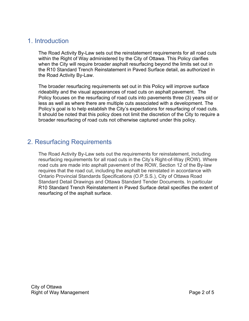#### <span id="page-2-0"></span>1. Introduction

The Road Activity By-Law sets out the reinstatement requirements for all road cuts within the Right of Way administered by the City of Ottawa. This Policy clarifies when the City will require broader asphalt resurfacing beyond the limits set out in the R10 Standard Trench Reinstatement in Paved Surface detail, as authorized in the Road Activity By-Law.

The broader resurfacing requirements set out in this Policy will improve surface rideability and the visual appearances of road cuts on asphalt pavement. The Policy focuses on the resurfacing of road cuts into pavements three (3) years old or less as well as where there are multiple cuts associated with a development. The Policy's goal is to help establish the City's expectations for resurfacing of road cuts. It should be noted that this policy does not limit the discretion of the City to require a broader resurfacing of road cuts not otherwise captured under this policy.

#### <span id="page-2-1"></span>2. Resurfacing Requirements

The Road Activity By-Law sets out the requirements for reinstatement, including resurfacing requirements for all road cuts in the City's Right-of-Way (ROW). Where road cuts are made into asphalt pavement of the ROW, Section 12 of the By-law requires that the road cut, including the asphalt be reinstated in accordance with Ontario Provincial Standards Specifications (O.P.S.S.), City of Ottawa Road Standard Detail Drawings and Ottawa Standard Tender Documents. In particular R10 Standard Trench Reinstatement in Paved Surface detail specifies the extent of resurfacing of the asphalt surface.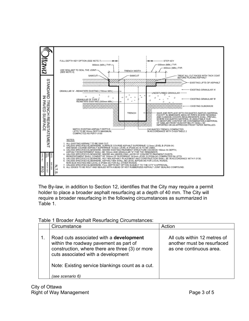

The By-law, in addition to Section 12, identifies that the City may require a permit holder to place a broader asphalt resurfacing at a depth of 40 mm. The City will require a broader resurfacing in the following circumstances as summarized in Table 1.

| Table 1 Broader Asphalt Resurfacing Circumstances: |
|----------------------------------------------------|
|----------------------------------------------------|

| Circumstance                                                                                                                                                               | Action                                                                                |
|----------------------------------------------------------------------------------------------------------------------------------------------------------------------------|---------------------------------------------------------------------------------------|
| Road cuts associated with a development<br>within the roadway pavement as part of<br>construction, where there are three (3) or more<br>cuts associated with a development | All cuts within 12 metres of<br>another must be resurfaced<br>as one continuous area. |
| Note: Existing service blankings count as a cut.                                                                                                                           |                                                                                       |
| (see scenario 6)                                                                                                                                                           |                                                                                       |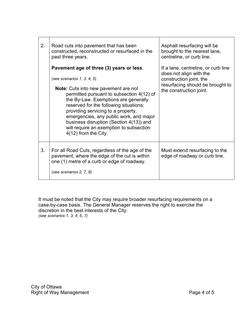| 2. | Road cuts into pavement that has been<br>constructed, reconstructed or resurfaced in the<br>past three years.                                                                                                                                                                                                                                                                                                                                            | Asphalt resurfacing will be<br>brought to the nearest lane,<br>centreline, or curb line.                                                                 |
|----|----------------------------------------------------------------------------------------------------------------------------------------------------------------------------------------------------------------------------------------------------------------------------------------------------------------------------------------------------------------------------------------------------------------------------------------------------------|----------------------------------------------------------------------------------------------------------------------------------------------------------|
|    | Pavement age of three (3) years or less.<br>(see scenarios $1, 3, 4, 5$ )<br><b>Note:</b> Cuts into new pavement are not<br>permitted pursuant to subsection 4(12) of<br>the By-Law. Exemptions are generally<br>reserved for the following situations:<br>providing servicing to a property,<br>emergencies, any public work, and major<br>business disruption (Section 4(13)) and<br>will require an exemption to subsection<br>$4(12)$ from the City. | If a lane, centreline, or curb line<br>does not align with the<br>construction joint, the<br>resurfacing should be brought to<br>the construction joint. |
| 3. | For all Road Cuts, regardless of the age of the<br>pavement, where the edge of the cut is within<br>one (1) metre of a curb or edge of roadway.<br>(see scenarios 2, 7, 8)                                                                                                                                                                                                                                                                               | Must extend resurfacing to the<br>edge of roadway or curb line.                                                                                          |

It must be noted that the City may require broader resurfacing requirements on a case-by-case basis. The General Manager reserves the right to exercise the discretion in the best interests of the City. *(see scenarios 1, 3, 4, 5, 7)*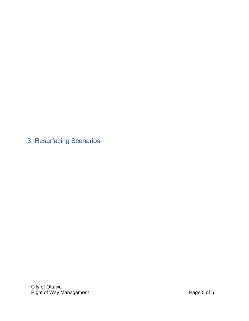<span id="page-5-0"></span>3. Resurfacing Scenarios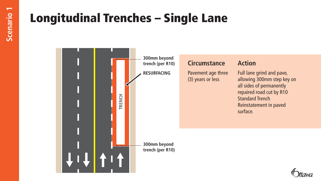## Longitudinal Trenches – Single Lane

<span id="page-6-0"></span>

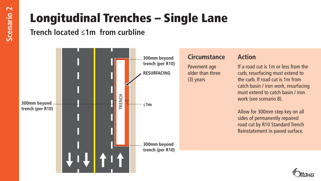# Longitudinal Trenches – Single Lane

**Trench located ≤1m from curbline** 

<span id="page-7-0"></span>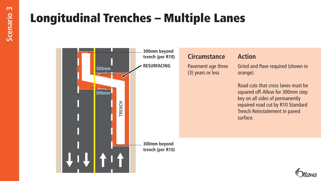## Longitudinal Trenches – Multiple Lanes

<span id="page-8-0"></span>

**Circumstance Action**

Pavement age three (3) years or less

Grind and Pave required (shown in orange).

Road cuts that cross lanes must be squared off. Allow for 300mm step key on all sides of permanently repaired road cut by R10 Standard Trench Reinstatement in paved surface.

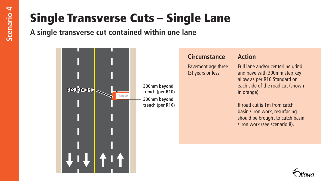# Single Transverse Cuts – Single Lane

<span id="page-9-0"></span>**A single transverse cut contained within one lane**



### **Circumstance Action**

Pavement age three (3) years or less

Full lane and/or centerline grind and pave with 300mm step key allow as per R10 Standard on each side of the road cut (shown in orange).

If road cut is 1m from catch basin / iron work, resurfacing should be brought to catch basin / iron work (see scenario 8).

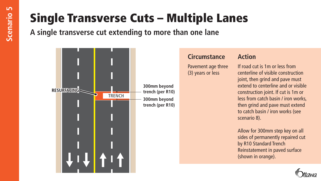# Single Transverse Cuts – Multiple Lanes

**A single transverse cut extending to more than one lane**

<span id="page-10-0"></span>

#### **Circumstance Action**

Pavement age three (3) years or less

If road cut is 1m or less from centerline of visible construction joint, then grind and pave must extend to centerline and or visible construction joint. If cut is 1m or less from catch basin / iron works, then grind and pave must extend to catch basin / iron works (see scenario 8).

Allow for 300mm step key on all sides of permanently repaired cut by R10 Standard Trench Reinstatement in paved surface (shown in orange).

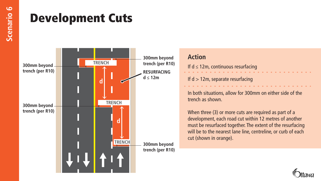## Development Cuts

<span id="page-11-0"></span>

## **Action**

If  $d \leq 12m$ , continuous resurfacing

If  $d > 12m$ , separate resurfacing

In both situations, allow for 300mm on either side of the trench as shown.

When three (3) or more cuts are required as part of a development, each road cut within 12 metres of another must be resurfaced together. The extent of the resurfacing will be to the nearest lane line, centreline, or curb of each cut (shown in orange).

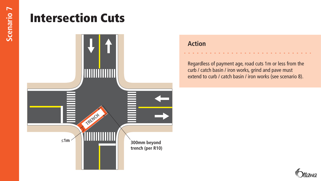## Intersection Cuts

<span id="page-12-0"></span>

#### **Action**

Regardless of payment age, road cuts 1m or less from the curb / catch basin / iron works, grind and pave must extend to curb / catch basin / iron works (see scenario 8).